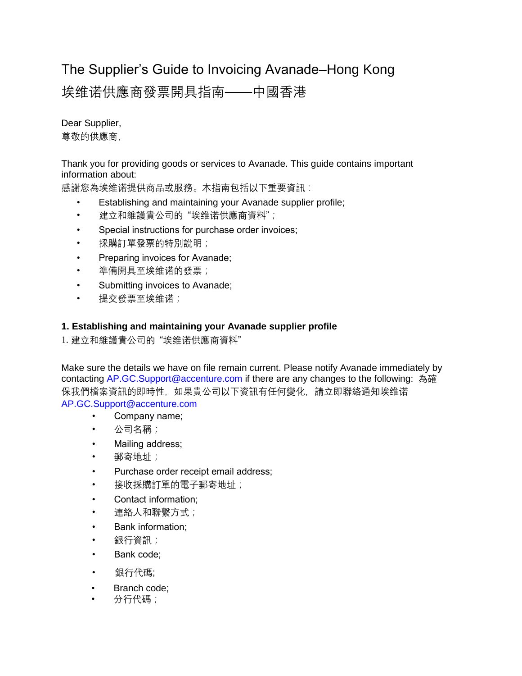# The Supplier's Guide to Invoicing Avanade–Hong Kong

# 埃维诺供應商發票開具指南——中國香港

Dear Supplier, 尊敬的供應商,

Thank you for providing goods or services to Avanade. This guide contains important information about:

感謝您為埃维诺提供商品或服務。本指南包括以下重要資訊:

- Establishing and maintaining your Avanade supplier profile;
- 建立和維護貴公司的"埃维诺供應商資料";
- Special instructions for purchase order invoices;
- 採購訂單發票的特別說明;
- Preparing invoices for Avanade;
- 準備開具至埃维诺的發票;
- Submitting invoices to Avanade;
- 提交發票至埃维诺;

## **1. Establishing and maintaining your Avanade supplier profile**

1.建立和維護貴公司的 "埃维诺供應商資料"

Make sure the details we have on file remain current. Please notify Avanade immediately by contacting AP.GC.Support@accenture.com if there are any changes to the following: 為確 保我們檔案資訊的即時性,如果貴公司以下資訊有任何變化,請立即聯絡通知埃维诺 AP.GC.Support@accenture.com

- Company name;
- 公司名稱;
- Mailing address;
- 郵寄地址;
- Purchase order receipt email address;
- 接收採購訂單的電子郵寄地址;
- Contact information;
- 連絡人和聯繫方式;
- Bank information;
- 銀行資訊;
- Bank code;
- 銀行代碼;
- Branch code;
- 分行代碼;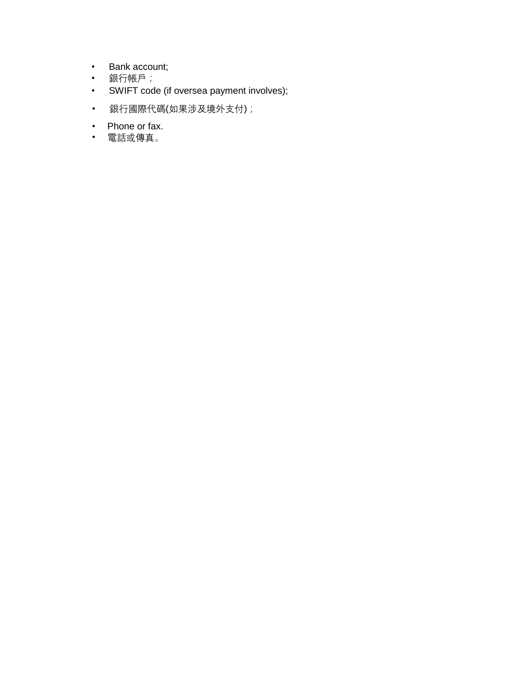- Bank account;
- 銀行帳戶;
- SWIFT code (if oversea payment involves);
- 銀行國際代碼(如果涉及境外支付);
- Phone or fax.
- 電話或傳真。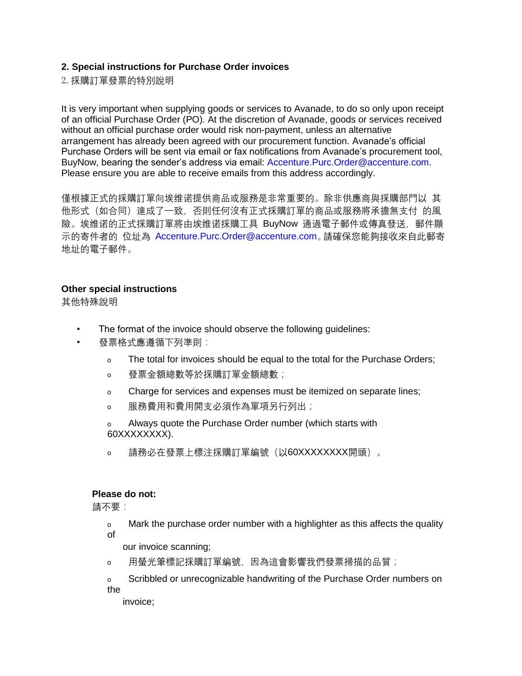### **2. Special instructions for Purchase Order invoices**

2.採購訂單發票的特別說明

It is very important when supplying goods or services to Avanade, to do so only upon receipt of an official Purchase Order (PO). At the discretion of Avanade, goods or services received without an official purchase order would risk non-payment, unless an alternative arrangement has already been agreed with our procurement function. Avanade's official Purchase Orders will be sent via email or fax notifications from Avanade's procurement tool, BuyNow, bearing the sender's address via email: Accenture.Purc.Order@accenture.com. Please ensure you are able to receive emails from this address accordingly.

僅根據正式的採購訂單向埃维诺提供商品或服務是非常重要的。除非供應商與採購部門以 其 他形式(如合同)達成了一致,否則任何沒有正式採購訂單的商品或服務將承擔無支付 的風 險。埃维诺的正式採購訂單將由埃维诺採購工具 BuyNow 通過電子郵件或傳真發送,郵件顯 示的寄件者的 位址為 Accenture.Purc.Order@accenture.com。請確保您能夠接收來自此郵寄 地址的電子郵件。

#### **Other special instructions**

其他特殊說明

- The format of the invoice should observe the following quidelines:
- 發票格式應遵循下列準則:
	- o The total for invoices should be equal to the total for the Purchase Orders;
	- o 發票金額總數等於採購訂單金額總數;
	- o Charge for services and expenses must be itemized on separate lines;
	- o 服務費用和費用開支必須作為單項另行列出*;*

o Always quote the Purchase Order number (which starts with 60XXXXXXXX).

o 請務必在發票上標注採購訂單編號(以60XXXXXXXX開頭)。

#### **Please do not:**

請不要:

o Mark the purchase order number with a highlighter as this affects the quality of

- our invoice scanning;
- o 用螢光筆標記採購訂單編號, 因為這會影響我們發票掃描的品質;

o Scribbled or unrecognizable handwriting of the Purchase Order numbers on the

invoice;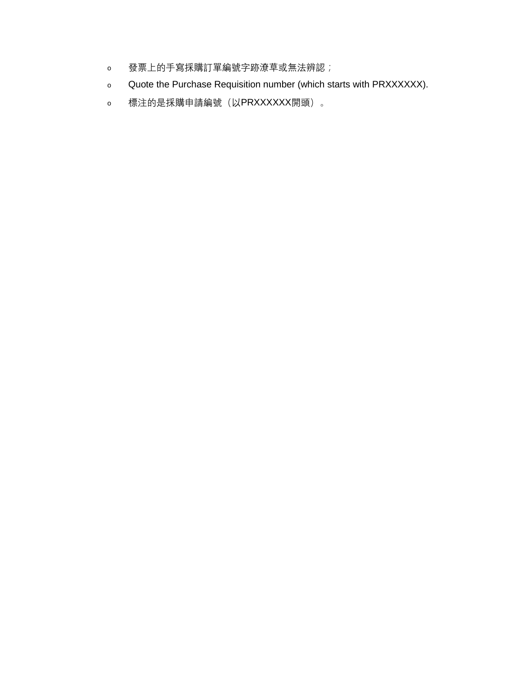- o 發票上的手寫採購訂單編號字跡潦草或無法辨認;
- o Quote the Purchase Requisition number (which starts with PRXXXXXX).
- o 標注的是採購申請編號(以PRXXXXXX開頭)。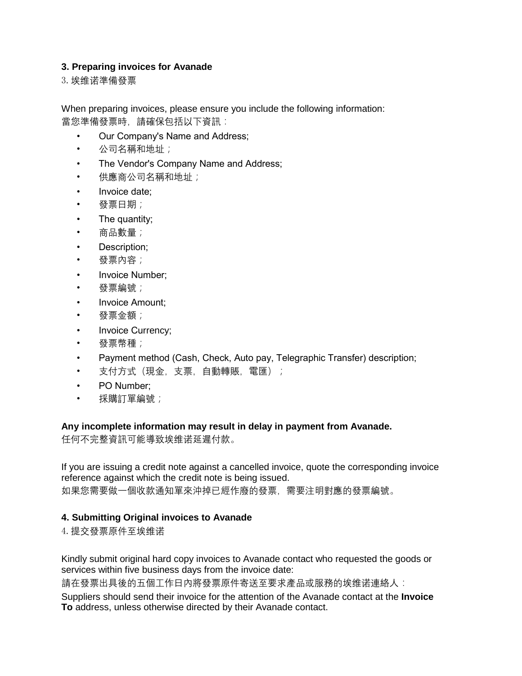## **3. Preparing invoices for Avanade**

3.埃维诺準備發票

When preparing invoices, please ensure you include the following information: 當您準備發票時,請確保包括以下資訊:

- Our Company's Name and Address;
- 公司名稱和地址;
- The Vendor's Company Name and Address;
- 供應商公司名稱和地址;
- Invoice date;
- 發票日期;
- The quantity;
- 商品數量;
- Description;
- 發票內容;
- Invoice Number;
- 發票編號;
- Invoice Amount;
- 發票金額;
- Invoice Currency;
- 發票幣種;
- Payment method (Cash, Check, Auto pay, Telegraphic Transfer) description;
- 支付方式(現金,支票,自動轉賬,電匯);
- PO Number;
- 採購訂單編號;

### **Any incomplete information may result in delay in payment from Avanade.**

任何不完整資訊可能導致埃维诺延遲付款。

If you are issuing a credit note against a cancelled invoice, quote the corresponding invoice reference against which the credit note is being issued. 如果您需要做一個收款通知單來沖掉已經作廢的發票,需要注明對應的發票編號。

# **4. Submitting Original invoices to Avanade**

### 4.提交發票原件至埃维诺

Kindly submit original hard copy invoices to Avanade contact who requested the goods or services within five business days from the invoice date:

請在發票出具後的五個工作日內將發票原件寄送至要求產品或服務的埃维诺連絡人:

Suppliers should send their invoice for the attention of the Avanade contact at the **Invoice To** address, unless otherwise directed by their Avanade contact.